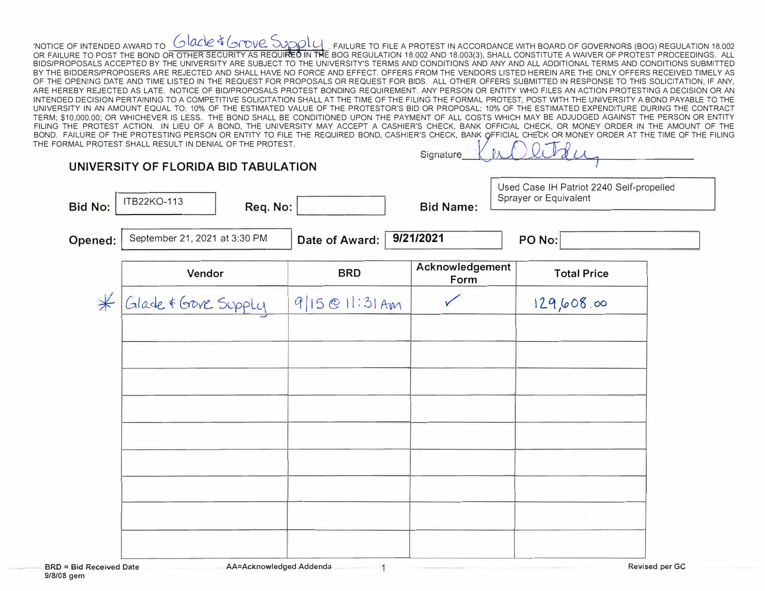NOTICE OF INTENDED AWARD TO <u>CUACLE TO TOUR SUPPL</u>E FAILURE TO FILE A PROTEST IN ACCORDANCE WITH BOARD OF GOVERNORS (BOG) REGULATION 18.002<br>OR FAILURE TO POST THE BOND OR OTHER SECURITY AS REQUIRED IN THE BOG REGULATION 1 BIDS/PROPOSALS ACCEPTED BY THE UNIVERSITY ARE SUBJECT TO THE UNIVERSITY'S TERMS AND CONDITIONS AND ANY AND ALL ADDITIONAL TERMS AND CONDITIONS SUBMITTED BY THE BIDDERS/PROPOSERS ARE REJECTED AND SHALL HAVE NO FORCE AND EFFECT. OFFERS FROM THE VENDORS LISTED HEREIN ARE THE ONLY OFFERS RECEIVED TIMELY AS OF THE OPENING DATE AND TIME LISTED IN THE REQUEST FOR PROPOSALS OR REQUEST FOR BIDS. ALL OTHER OFFERS SUBMITTED IN RESPONSE TO THIS SOLICITATION, IF ANY, ARE HEREBY REJECTED AS LATE. NOTICE OF BID/PROPOSALS PROTEST BONDING REQUIREMENT. ANY PERSON OR ENTITY WHO FILES AN ACTION PROTESTING A DECISION OR AN INTENDED DECISION PERTAINING TO A COMPETITIVE SOLICITATION SHALL AT THE TIME OF THE FILING THE FORMAL PROTEST, POST WITH THE UNIVERSITY A BOND PAYABLE TO THE UNIVERSITY IN AN AMOUNT EQUAL TO: 10% OF THE ESTIMATED VALUE OF THE PROTESTOR'S BID OR PROPOSAL; 10% OF THE ESTIMATED EXPENDITURE DURING THE CONTRACT TERM; \$10,000.00; OR WHICHEVER IS LESS. THE BOND SHALL BE CONDITIONED UPON THE PAYMENT OF ALL COSTS WHICH MAY BE ADJUDGED AGAINST THE PERSON OR ENTITY FILING THE PROTEST ACTION. IN LIEU OF A BOND, THE UNIVERSITY MAY ACCEPT A CASHIER'S CHECK, BANK OFFICIAL CHECK, OR MONEY ORDER IN THE AMOUNT OF THE BOND. FAILURE OF THE PROTESTING PERSON OR ENTITY TO FILE THE REQUIRED BOND, CASHIER'S CHECK, BANK OFFICIAL CHECK OR MONEY ORDER AT THE TIME OF THE FILING THE FORMAL PROTEST SHALL RESULT IN DENIAL OF THE PROTEST.  $Cianation$ 

| UNIVERSITY OF FLORIDA BID TABULATION |                               |                | U                       | 20480                                                             |  |  |
|--------------------------------------|-------------------------------|----------------|-------------------------|-------------------------------------------------------------------|--|--|
| <b>Bid No:</b>                       | ITB22KO-113<br>Req. No:       |                | <b>Bid Name:</b>        | Used Case IH Patriot 2240 Self-propelled<br>Sprayer or Equivalent |  |  |
| Opened:                              | September 21, 2021 at 3:30 PM | Date of Award: | 9/21/2021               | PO No:                                                            |  |  |
|                                      | Vendor                        | <b>BRD</b>     | Acknowledgement<br>Form | <b>Total Price</b>                                                |  |  |
| $\nless$                             | Glade & Gove Supply           | 9/15@11:31 Am  | $\checkmark$            | 129,608.00                                                        |  |  |
|                                      |                               |                |                         |                                                                   |  |  |
|                                      |                               |                |                         |                                                                   |  |  |
|                                      |                               |                |                         |                                                                   |  |  |
|                                      |                               |                |                         |                                                                   |  |  |
|                                      |                               |                |                         |                                                                   |  |  |
|                                      |                               |                |                         |                                                                   |  |  |
|                                      |                               |                |                         | T.                                                                |  |  |
|                                      |                               |                |                         |                                                                   |  |  |

AA=Acknowledged Addenda-